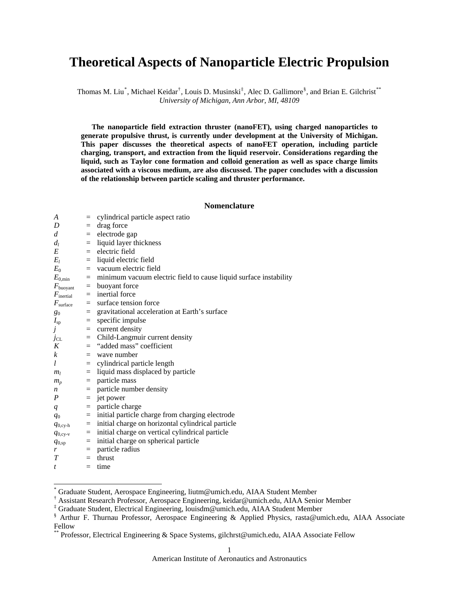# **Theoretical Aspects of Nanoparticle Electric Propulsion**

Thomas M. Liu<sup>[\\*](#page-0-0)</sup>, Michael Keidar<sup>[†](#page-0-1)</sup>, Louis D. Musinski<sup>[‡](#page-0-2)</sup>, Alec D. Gallimore<sup>[§](#page-0-3)</sup>, and Brian E. Gilchrist<sup>[\\*\\*](#page-0-4)</sup> *University of Michigan, Ann Arbor, MI, 48109* 

**The nanoparticle field extraction thruster (nanoFET), using charged nanoparticles to generate propulsive thrust, is currently under development at the University of Michigan. This paper discusses the theoretical aspects of nanoFET operation, including particle charging, transport, and extraction from the liquid reservoir. Considerations regarding the liquid, such as Taylor cone formation and colloid generation as well as space charge limits associated with a viscous medium, are also discussed. The paper concludes with a discussion of the relationship between particle scaling and thruster performance.** 

## **Nomenclature**

| A                     | $=$ | cylindrical particle aspect ratio                                     |
|-----------------------|-----|-----------------------------------------------------------------------|
| D                     |     | $=$ drag force                                                        |
| $\overline{d}$        |     | $=$ electrode gap                                                     |
| $d_l$                 |     | $=$ liquid layer thickness                                            |
| E                     | $=$ | electric field                                                        |
| $E_l$                 |     | $=$ liquid electric field                                             |
| $E_0$                 |     | $=$ vacuum electric field                                             |
| $E_{0,\rm min}$       |     | $=$ minimum vacuum electric field to cause liquid surface instability |
| $F_{\text{buoyant}}$  |     | $=$ buoyant force                                                     |
| $F_{\text{inertial}}$ |     | $=$ inertial force                                                    |
| $F_{\text{surface}}$  |     | $=$ surface tension force                                             |
| $g_0$                 |     | = gravitational acceleration at Earth's surface                       |
| $I_{sp}$              | $=$ | specific impulse                                                      |
| j                     |     | $=$ current density                                                   |
| JCL                   |     | $=$ Child-Langmuir current density                                    |
| K                     |     | $=$ "added mass" coefficient                                          |
| $\mathcal{K}$         |     | $=$ wave number                                                       |
| l                     |     | $=$ cylindrical particle length                                       |
| m <sub>l</sub>        | $=$ | liquid mass displaced by particle                                     |
| $m_p$                 |     | $=$ particle mass                                                     |
| n                     |     | $=$ particle number density                                           |
| P                     |     | $=$ jet power                                                         |
| $\boldsymbol{q}$      |     | $=$ particle charge                                                   |
| $q_0$                 | $=$ | initial particle charge from charging electrode                       |
| $q_{0,\text{cy-h}}$   |     | $=$ initial charge on horizontal cylindrical particle                 |
| $q_{0,\text{cy-v}}$   |     | $=$ initial charge on vertical cylindrical particle                   |
| $q_{0,\text{sp}}$     | $=$ | initial charge on spherical particle                                  |
| r                     | $=$ | particle radius                                                       |
| T                     |     | $=$ thrust                                                            |
| $\mathbf{r}$          |     | $=$ time                                                              |

<span id="page-0-0"></span><sup>\*</sup> Graduate Student, Aerospace Engineering, liutm@umich.edu, AIAA Student Member

 $\overline{a}$ 

<span id="page-0-1"></span><sup>†</sup> Assistant Research Professor, Aerospace Engineering, keidar@umich.edu, AIAA Senior Member

<sup>‡</sup> Graduate Student, Electrical Engineering, louisdm@umich.edu, AIAA Student Member

<span id="page-0-3"></span><span id="page-0-2"></span><sup>§</sup> Arthur F. Thurnau Professor, Aerospace Engineering & Applied Physics, rasta@umich.edu, AIAA Associate Fellow

<span id="page-0-4"></span>Professor, Electrical Engineering & Space Systems, gilchrst@umich.edu, AIAA Associate Fellow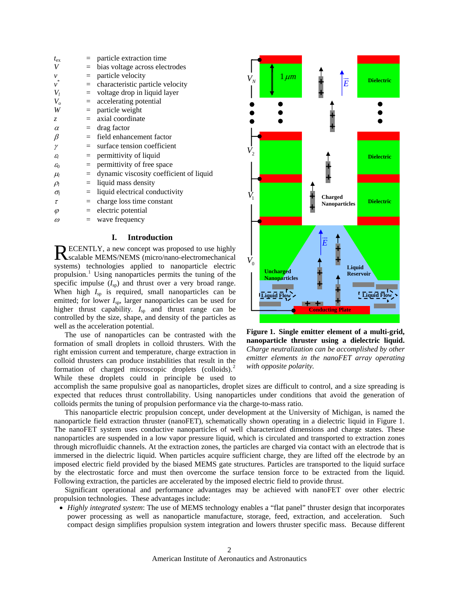| $t_{\rm ex}$        |     | particle extraction time                |
|---------------------|-----|-----------------------------------------|
| V                   | $=$ | bias voltage across electrodes          |
| $\mathcal{V}$       | $=$ | particle velocity                       |
| $\stackrel{*}{\nu}$ | $=$ | characteristic particle velocity        |
| $V_I$               | $=$ | voltage drop in liquid layer            |
| $V_{o}$             | $=$ | accelerating potential                  |
| W                   | $=$ | particle weight                         |
| Z.                  |     | $=$ axial coordinate                    |
| $\alpha$            |     | $=$ drag factor                         |
| $\beta$             |     | $=$ field enhancement factor            |
| $\gamma$            |     | $=$ surface tension coefficient         |
| $\mathcal{E}_l$     | $=$ | permittivity of liquid                  |
| $\varepsilon_0$     | $=$ | permittivity of free space              |
| $\mu_{l}$           | $=$ | dynamic viscosity coefficient of liquid |
| $\rho_l$            | $=$ | liquid mass density                     |
| $\sigma_l$          | $=$ | liquid electrical conductivity          |
| $\tau$              | $=$ | charge loss time constant               |
| $\varphi$           |     | $=$ electric potential                  |
| $\omega$            |     | $=$ wave frequency                      |

## **I. Introduction**

ECENTLY, a new concept was proposed to use highly RECENTLY, a new concept was proposed to use highly scalable MEMS/NEMS (micro/nano-electromechanical systems) technologies applied to nanoparticle electric propulsion.<sup>[1](#page-11-0)</sup> Using nanoparticles permits the tuning of the specific impulse  $(I_{sp})$  and thrust over a very broad range. When high  $I_{sp}$  is required, small nanoparticles can be emitted; for lower  $I_{sp}$ , larger nanoparticles can be used for higher thrust capability.  $I_{\rm SD}$  and thrust range can be controlled by the size, shape, and density of the particles as well as the acceleration potential.

 The use of nanoparticles can be contrasted with the formation of small droplets in colloid thrusters. With the right emission current and temperature, charge extraction in colloid thrusters can produce instabilities that result in the formation of charged microscopic droplets (colloids).<sup>[2](#page-11-1)</sup> While these droplets could in principle be used to



**Figure 1. Single emitter element of a multi-grid, nanoparticle thruster using a dielectric liquid.**  *Charge neutralization can be accomplished by other emitter elements in the nanoFET array operating with opposite polarity.*

accomplish the same propulsive goal as nanoparticles, droplet sizes are difficult to control, and a size spreading is expected that reduces thrust controllability. Using nanoparticles under conditions that avoid the generation of colloids permits the tuning of propulsion performance via the charge-to-mass ratio.

 This nanoparticle electric propulsion concept, under development at the University of Michigan, is named the nanoparticle field extraction thruster (nanoFET), schematically shown operating in a dielectric liquid in Figure 1. The nanoFET system uses conductive nanoparticles of well characterized dimensions and charge states. These nanoparticles are suspended in a low vapor pressure liquid, which is circulated and transported to extraction zones through microfluidic channels. At the extraction zones, the particles are charged via contact with an electrode that is immersed in the dielectric liquid. When particles acquire sufficient charge, they are lifted off the electrode by an imposed electric field provided by the biased MEMS gate structures. Particles are transported to the liquid surface by the electrostatic force and must then overcome the surface tension force to be extracted from the liquid. Following extraction, the particles are accelerated by the imposed electric field to provide thrust.

 Significant operational and performance advantages may be achieved with nanoFET over other electric propulsion technologies. These advantages include:

• *Highly integrated system*: The use of MEMS technology enables a "flat panel" thruster design that incorporates power processing as well as nanoparticle manufacture, storage, feed, extraction, and acceleration. Such compact design simplifies propulsion system integration and lowers thruster specific mass. Because different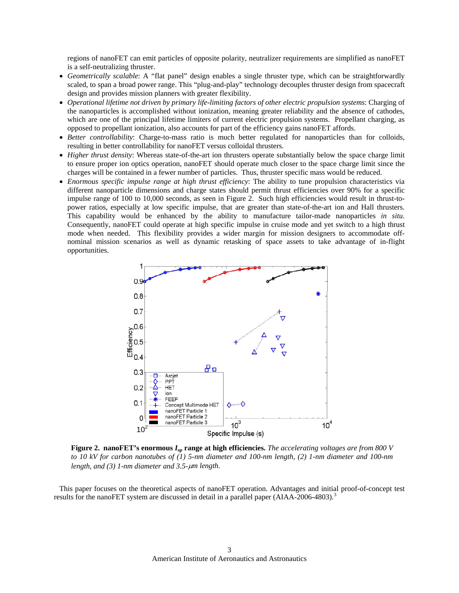regions of nanoFET can emit particles of opposite polarity, neutralizer requirements are simplified as nanoFET is a self-neutralizing thruster.

- *Geometrically scalable*: A "flat panel" design enables a single thruster type, which can be straightforwardly scaled, to span a broad power range. This "plug-and-play" technology decouples thruster design from spacecraft design and provides mission planners with greater flexibility.
- *Operational lifetime not driven by primary life-limiting factors of other electric propulsion systems*: Charging of the nanoparticles is accomplished without ionization, meaning greater reliability and the absence of cathodes, which are one of the principal lifetime limiters of current electric propulsion systems. Propellant charging, as opposed to propellant ionization, also accounts for part of the efficiency gains nanoFET affords.
- *Better controllability*: Charge-to-mass ratio is much better regulated for nanoparticles than for colloids, resulting in better controllability for nanoFET versus colloidal thrusters.
- *Higher thrust density*: Whereas state-of-the-art ion thrusters operate substantially below the space charge limit to ensure proper ion optics operation, nanoFET should operate much closer to the space charge limit since the charges will be contained in a fewer number of particles. Thus, thruster specific mass would be reduced.
- *Enormous specific impulse range at high thrust efficiency*: The ability to tune propulsion characteristics via different nanoparticle dimensions and charge states should permit thrust efficiencies over 90% for a specific impulse range of 100 to 10,000 seconds, as seen in Figure 2. Such high efficiencies would result in thrust-topower ratios, especially at low specific impulse, that are greater than state-of-the-art ion and Hall thrusters. This capability would be enhanced by the ability to manufacture tailor-made nanoparticles *in situ*. Consequently, nanoFET could operate at high specific impulse in cruise mode and yet switch to a high thrust mode when needed. This flexibility provides a wider margin for mission designers to accommodate offnominal mission scenarios as well as dynamic retasking of space assets to take advantage of in-flight opportunities.



**Figure 2. nanoFET's enormous**  $I_{\text{sp}}$  **range at high efficiencies.** *The accelerating voltages are from 800 V to 10 kV for carbon nanotubes of (1) 5-nm diameter and 100-nm length, (2) 1-nm diameter and 100-nm length, and (3) 1-nm diameter and 3.5-*μ*m length.*

This paper focuses on the theoretical aspects of nanoFET operation. Advantages and initial proof-of-concept test results for the nanoFET system are discussed in detail in a parallel paper (AIAA-2006-480[3](#page-11-1)).<sup>3</sup>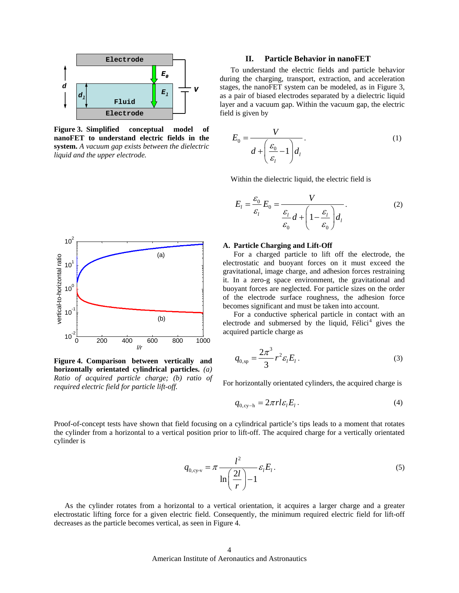

**Figure 3. Simplified conceptual model of nanoFET to understand electric fields in the system.** *A vacuum gap exists between the dielectric liquid and the upper electrode.*



Figure 4. Comparison between vertically and <sup>q</sup> **horizontally orientated cylindrical particles.** *(a) Ratio of acquired particle charge; (b) ratio of required electric field for particle lift-off.* For horizontally orientated cylinders, the acquired charge is required electric field for particle lift-off.

## **Electrode II. Particle Behavior in nanoFET**

To understand the electric fields and particle behavior during the charging, transport, extraction, and acceleration stages, the nanoFET system can be modeled, as in Figure 3, as a pair of biased electrodes separated by a dielectric liquid layer and a vacuum gap. Within the vacuum gap, the electric field is given by

$$
E_0 = \frac{V}{d + \left(\frac{\varepsilon_0}{\varepsilon_i} - 1\right) d_i}.
$$
 (1)

Within the dielectric liquid, the electric field is

$$
E_{l} = \frac{\varepsilon_{0}}{\varepsilon_{l}} E_{0} = \frac{V}{\frac{\varepsilon_{l}}{\varepsilon_{0}} d + \left(1 - \frac{\varepsilon_{l}}{\varepsilon_{0}}\right) d_{l}}.
$$
 (2)

### **A. Particle Charging and Lift-Off**

 For a charged particle to lift off the electrode, the electrostatic and buoyant forces on it must exceed the gravitational, image charge, and adhesion forces restraining it. In a zero-g space environment, the gravitational and buoyant forces are neglected. For particle sizes on the order of the electrode surface roughness, the adhesion force becomes significant and must be taken into account.

 For a conductive spherical particle in contact with an electrode and submersed by the liquid,  $Félici<sup>4</sup>$  $Félici<sup>4</sup>$  $Félici<sup>4</sup>$  gives the acquired particle charge as

$$
q_{0,\rm sp} = \frac{2\pi^3}{3} r^2 \varepsilon_l E_l \,. \tag{3}
$$

$$
q_{0,\text{cy-h}} = 2\pi r l \varepsilon_l E_l. \tag{4}
$$

Proof-of-concept tests have shown that field focusing on a cylindrical particle's tips leads to a moment that rotates the cylinder from a horizontal to a vertical position prior to lift-off. The acquired charge for a vertically orientated cylinder is

$$
q_{0,\text{cy-v}} = \pi \frac{l^2}{\ln\left(\frac{2l}{r}\right) - 1} \varepsilon_l E_l.
$$
 (5)

 As the cylinder rotates from a horizontal to a vertical orientation, it acquires a larger charge and a greater electrostatic lifting force for a given electric field. Consequently, the minimum required electric field for lift-off decreases as the particle becomes vertical, as seen in Figure 4.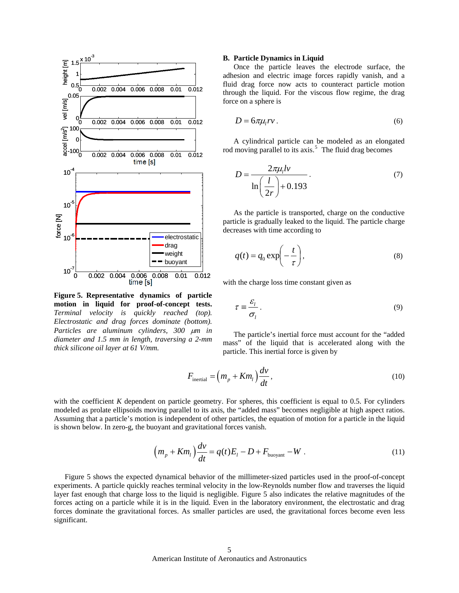

**Figure 5. Representative dynamics of particle motion in liquid for proof-of-concept tests.**  *Terminal velocity is quickly reached (top). Electrostatic and drag forces dominate (bottom). Particles are aluminum cylinders, 300* μ*m in diameter and 1.5 mm in length, traversing a 2-mm thick silicone oil layer at 61 V/mm.*

#### **B. Particle Dynamics in Liquid**

 Once the particle leaves the electrode surface, the adhesion and electric image forces rapidly vanish, and a fluid drag force now acts to counteract particle motion through the liquid. For the viscous flow regime, the drag force on a sphere is

$$
D = 6\pi\mu_{l}rv. \tag{6}
$$

 A cylindrical particle can be modeled as an elongated rod moving parallel to its  $axis.<sup>5</sup>$  $axis.<sup>5</sup>$  $axis.<sup>5</sup>$  The fluid drag becomes

$$
D = \frac{2\pi\mu_l l v}{\ln\left(\frac{l}{2r}\right) + 0.193}.
$$
\n(7)

 As the particle is transported, charge on the conductive particle is gradually leaked to the liquid. The particle charge decreases with time according to

$$
q(t) = q_0 \exp\left(-\frac{t}{\tau}\right),\tag{8}
$$

with the charge loss time constant given as

$$
\tau \equiv \frac{\varepsilon_l}{\sigma_l} \,. \tag{9}
$$

The particle's inertial force must account for the "added mass" of the liquid that is accelerated along with the particle. This inertial force is given by

$$
F_{\text{inertial}} = \left(m_p + Km_l\right)\frac{dv}{dt},\tag{10}
$$

with the coefficient *K* dependent on particle geometry. For spheres, this coefficient is equal to 0.5. For cylinders modeled as prolate ellipsoids moving parallel to its axis, the "added mass" becomes negligible at high aspect ratios. Assuming that a particle's motion is independent of other particles, the equation of motion for a particle in the liquid is shown below. In zero-g, the buoyant and gravitational forces vanish.

$$
\left(m_p + Km_l\right)\frac{dv}{dt} = q(t)E_l - D + F_{\text{buoyant}} - W\ . \tag{11}
$$

 Figure 5 shows the expected dynamical behavior of the millimeter-sized particles used in the proof-of-concept experiments. A particle quickly reaches terminal velocity in the low-Reynolds number flow and traverses the liquid layer fast enough that charge loss to the liquid is negligible. Figure 5 also indicates the relative magnitudes of the forces acting on a particle while it is in the liquid. Even in the laboratory environment, the electrostatic and drag forces dominate the gravitational forces. As smaller particles are used, the gravitational forces become even less significant.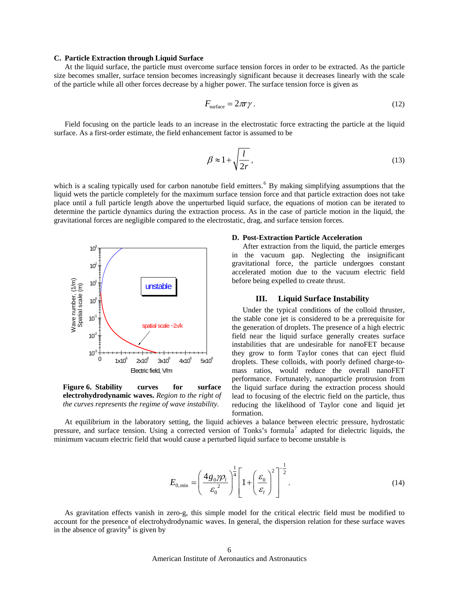## **C. Particle Extraction through Liquid Surface**

 At the liquid surface, the particle must overcome surface tension forces in order to be extracted. As the particle size becomes smaller, surface tension becomes increasingly significant because it decreases linearly with the scale of the particle while all other forces decrease by a higher power. The surface tension force is given as

$$
F_{\text{surface}} = 2\pi r \gamma \,. \tag{12}
$$

Field focusing on the particle leads to an increase in the electrostatic force extracting the particle at the liquid surface. As a first-order estimate, the field enhancement factor is assumed to be

$$
\beta \approx 1 + \sqrt{\frac{l}{2r}},\tag{13}
$$

which is a scaling typically used for carbon nanotube field emitters.  $6\text{ By making simplifying assumptions that the}$  $6\text{ By making simplifying assumptions that the}$ liquid wets the particle completely for the maximum surface tension force and that particle extraction does not take place until a full particle length above the unperturbed liquid surface, the equations of motion can be iterated to determine the particle dynamics during the extraction process. As in the case of particle motion in the liquid, the gravitational forces are negligible compared to the electrostatic, drag, and surface tension forces.



**Figure 6. Stability curves for surface electrohydrodynamic waves.** *Region to the right of the curves represents the regime of wave instability.*

#### **D. Post-Extraction Particle Acceleration**

 After extraction from the liquid, the particle emerges in the vacuum gap. Neglecting the insignificant gravitational force, the particle undergoes constant accelerated motion due to the vacuum electric field before being expelled to create thrust.

# **III. Liquid Surface Instability**

Under the typical conditions of the colloid thruster, the stable cone jet is considered to be a prerequisite for the generation of droplets. The presence of a high electric field near the liquid surface generally creates surface instabilities that are undesirable for nanoFET because they grow to form Taylor cones that can eject fluid droplets. These colloids, with poorly defined charge-tomass ratios, would reduce the overall nanoFET performance. Fortunately, nanoparticle protrusion from the liquid surface during the extraction process should lead to focusing of the electric field on the particle, thus reducing the likelihood of Taylor cone and liquid jet formation.

At equilibrium in the laboratory setting, the liquid achieves a balance between electric pressure, hydrostatic pressure, and surface tension. Using a corrected version of Tonks's formula<sup>[7](#page-11-1)</sup> adapted for dielectric liquids, the minimum vacuum electric field that would cause a perturbed liquid surface to become unstable is

$$
E_{0,\min} = \left(\frac{4g_0\gamma\rho_l}{\varepsilon_0^2}\right)^{\frac{1}{4}} \left[1 + \left(\frac{\varepsilon_0}{\varepsilon_l}\right)^2\right]^{-\frac{1}{2}}.
$$
 (14)

 As gravitation effects vanish in zero-g, this simple model for the critical electric field must be modified to account for the presence of electrohydrodynamic waves. In general, the dispersion relation for these surface waves in the absence of gravity<sup>[8](#page-11-1)</sup> is given by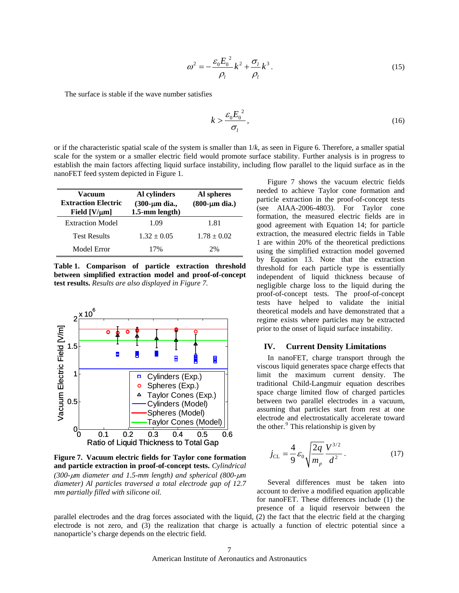$$
\omega^2 = -\frac{\varepsilon_0 E_0^2}{\rho_l} k^2 + \frac{\sigma_l}{\rho_l} k^3.
$$
\n(15)

The surface is stable if the wave number satisfies

$$
k > \frac{\varepsilon_0 E_0^2}{\sigma_l},\tag{16}
$$

or if the characteristic spatial scale of the system is smaller than 1/*k*, as seen in Figure 6. Therefore, a smaller spatial scale for the system or a smaller electric field would promote surface stability. Further analysis is in progress to establish the main factors affecting liquid surface instability, including flow parallel to the liquid surface as in the nanoFET feed system depicted in Figure 1.

| Vacuum<br><b>Extraction Electric</b><br>Field $[V/\mu m]$ | Al cylinders<br>$(300 \text{-} \mu \text{m} \text{ dia.},$<br>$1.5$ -mm length) | Al spheres<br>$(800 - \mu m)$ dia.) |
|-----------------------------------------------------------|---------------------------------------------------------------------------------|-------------------------------------|
| <b>Extraction Model</b>                                   | 1.09                                                                            | 1.81                                |
| <b>Test Results</b>                                       | $1.32 \pm 0.05$                                                                 | $1.78 \pm 0.02$                     |
| Model Error                                               | 17%                                                                             | 2%                                  |

**Table 1. Comparison of particle extraction threshold between simplified extraction model and proof-of-concept test results.** *Results are also displayed in Figure 7.*



**Figure 7. Vacuum electric fields for Taylor cone formation and particle extraction in proof-of-concept tests.** *Cylindrical (300-*μ*m diameter and 1.5-mm length) and spherical (800-*μ*m diameter) Al particles traversed a total electrode gap of 12.7 mm partially filled with silicone oil.*

 Figure 7 shows the vacuum electric fields needed to achieve Taylor cone formation and particle extraction in the proof-of-concept tests (see AIAA-2006-4803). For Taylor cone formation, the measured electric fields are in good agreement with Equation 14; for particle extraction, the measured electric fields in Table 1 are within 20% of the theoretical predictions using the simplified extraction model governed by Equation 13. Note that the extraction threshold for each particle type is essentially independent of liquid thickness because of negligible charge loss to the liquid during the proof-of-concept tests. The proof-of-concept tests have helped to validate the initial theoretical models and have demonstrated that a regime exists where particles may be extracted prior to the onset of liquid surface instability.

# **IV. Current Density Limitations**

In nanoFET, charge transport through the viscous liquid generates space charge effects that limit the maximum current density. The traditional Child-Langmuir equation describes space charge limited flow of charged particles between two parallel electrodes in a vacuum, assuming that particles start from rest at one electrode and electrostatically accelerate toward the other.<sup>[9](#page-11-1)</sup> This relationship is given by

$$
j_{\rm CL} = \frac{4}{9} \varepsilon_0 \sqrt{\frac{2q}{m_p}} \frac{V^{3/2}}{d^2}.
$$
 (17)

 Several differences must be taken into account to derive a modified equation applicable for nanoFET. These differences include (1) the presence of a liquid reservoir between the

parallel electrodes and the drag forces associated with the liquid, (2) the fact that the electric field at the charging electrode is not zero, and (3) the realization that charge is actually a function of electric potential since a nanoparticle's charge depends on the electric field.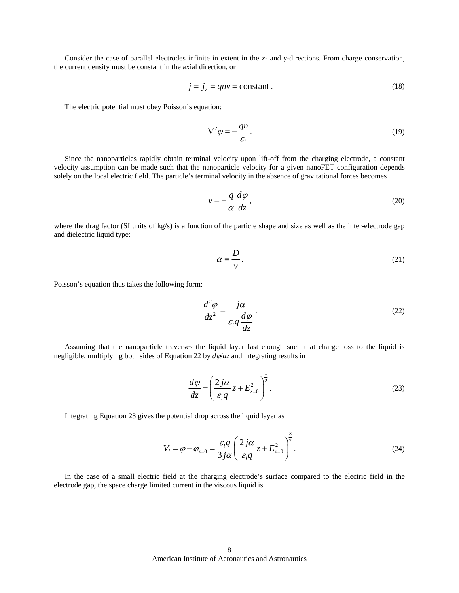Consider the case of parallel electrodes infinite in extent in the *x-* and *y*-directions. From charge conservation, the current density must be constant in the axial direction, or

$$
j = j_z = qnv = \text{constant} \,. \tag{18}
$$

The electric potential must obey Poisson's equation:

$$
\nabla^2 \varphi = -\frac{qn}{\varepsilon_l}.\tag{19}
$$

Since the nanoparticles rapidly obtain terminal velocity upon lift-off from the charging electrode, a constant velocity assumption can be made such that the nanoparticle velocity for a given nanoFET configuration depends solely on the local electric field. The particle's terminal velocity in the absence of gravitational forces becomes

$$
v = -\frac{q}{\alpha} \frac{d\varphi}{dz},\tag{20}
$$

where the drag factor (SI units of kg/s) is a function of the particle shape and size as well as the inter-electrode gap and dielectric liquid type:

$$
\alpha \equiv \frac{D}{v}.\tag{21}
$$

Poisson's equation thus takes the following form:

$$
\frac{d^2\varphi}{dz^2} = \frac{j\alpha}{\varepsilon_l q \frac{d\varphi}{dz}}.
$$
\n(22)

Assuming that the nanoparticle traverses the liquid layer fast enough such that charge loss to the liquid is negligible, multiplying both sides of Equation 22 by *d*ϕ/*dz* and integrating results in

$$
\frac{d\varphi}{dz} = \left(\frac{2j\alpha}{\varepsilon_l q} z + E_{z=0}^2\right)^{\frac{1}{2}}.
$$
\n(23)

Integrating Equation 23 gives the potential drop across the liquid layer as

$$
V_{l} = \varphi - \varphi_{z=0} = \frac{\varepsilon_{l} q}{3 j \alpha} \left( \frac{2 j \alpha}{\varepsilon_{l} q} z + E_{z=0}^{2} \right)^{\frac{3}{2}}.
$$
 (24)

In the case of a small electric field at the charging electrode's surface compared to the electric field in the electrode gap, the space charge limited current in the viscous liquid is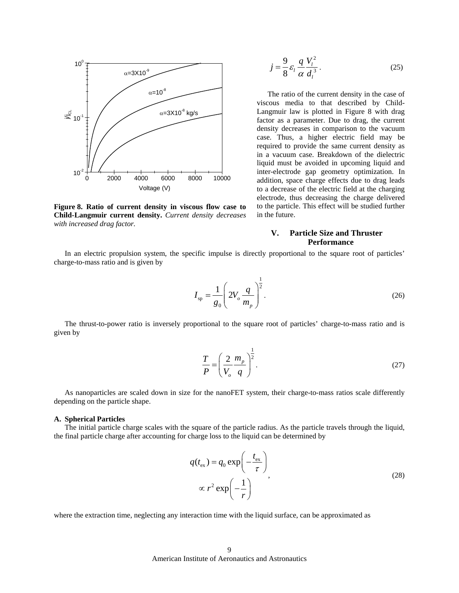

**Figure 8. Ratio of current density in viscous flow case to Child-Langmuir current density.** *Current density decreases with increased drag factor.*

$$
j = \frac{9}{8} \varepsilon_l \frac{q}{\alpha} \frac{V_l^2}{d_l^3}.
$$
 (25)

The ratio of the current density in the case of viscous media to that described by Child-Langmuir law is plotted in Figure 8 with drag factor as a parameter. Due to drag, the current density decreases in comparison to the vacuum case. Thus, a higher electric field may be required to provide the same current density as in a vacuum case. Breakdown of the dielectric liquid must be avoided in upcoming liquid and inter-electrode gap geometry optimization. In addition, space charge effects due to drag leads to a decrease of the electric field at the charging electrode, thus decreasing the charge delivered to the particle. This effect will be studied further in the future.

# **V. Particle Size and Thruster Performance**

 In an electric propulsion system, the specific impulse is directly proportional to the square root of particles' charge-to-mass ratio and is given by

$$
I_{\rm sp} = \frac{1}{g_0} \left( 2V_o \frac{q}{m_p} \right)^{\frac{1}{2}}.
$$
 (26)

 The thrust-to-power ratio is inversely proportional to the square root of particles' charge-to-mass ratio and is given by

$$
\frac{T}{P} = \left(\frac{2}{V_o} \frac{m_p}{q}\right)^{\frac{1}{2}}.
$$
\n(27)

 As nanoparticles are scaled down in size for the nanoFET system, their charge-to-mass ratios scale differently depending on the particle shape.

## **A. Spherical Particles**

 The initial particle charge scales with the square of the particle radius. As the particle travels through the liquid, the final particle charge after accounting for charge loss to the liquid can be determined by

$$
q(t_{\rm ex}) = q_0 \exp\left(-\frac{t_{\rm ex}}{\tau}\right)
$$
  
 
$$
\propto r^2 \exp\left(-\frac{1}{r}\right)
$$
 (28)

where the extraction time, neglecting any interaction time with the liquid surface, can be approximated as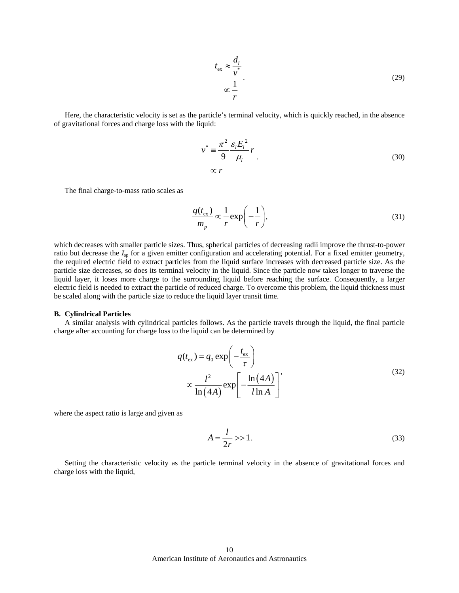$$
t_{\rm ex} \approx \frac{d_l}{v^*}
$$
  
 
$$
\propto \frac{1}{r}
$$
 (29)

Here, the characteristic velocity is set as the particle's terminal velocity, which is quickly reached, in the absence of gravitational forces and charge loss with the liquid:

$$
v^* \equiv \frac{\pi^2}{9} \frac{\varepsilon_l E_l^2}{\mu_l} r
$$
  
 
$$
\propto r
$$
 (30)

The final charge-to-mass ratio scales as

$$
\frac{q(t_{\text{ex}})}{m_p} \propto \frac{1}{r} \exp\left(-\frac{1}{r}\right),\tag{31}
$$

which decreases with smaller particle sizes. Thus, spherical particles of decreasing radii improve the thrust-to-power ratio but decrease the  $I_{sp}$  for a given emitter configuration and accelerating potential. For a fixed emitter geometry, the required electric field to extract particles from the liquid surface increases with decreased particle size. As the particle size decreases, so does its terminal velocity in the liquid. Since the particle now takes longer to traverse the liquid layer, it loses more charge to the surrounding liquid before reaching the surface. Consequently, a larger electric field is needed to extract the particle of reduced charge. To overcome this problem, the liquid thickness must be scaled along with the particle size to reduce the liquid layer transit time.

#### **B. Cylindrical Particles**

 A similar analysis with cylindrical particles follows. As the particle travels through the liquid, the final particle charge after accounting for charge loss to the liquid can be determined by

$$
q(t_{\rm ex}) = q_0 \exp\left(-\frac{t_{\rm ex}}{\tau}\right)
$$
  

$$
\propto \frac{l^2}{\ln(4A)} \exp\left[-\frac{\ln(4A)}{l \ln A}\right],
$$
 (32)

where the aspect ratio is large and given as

$$
A = \frac{l}{2r} \gg 1. \tag{33}
$$

Setting the characteristic velocity as the particle terminal velocity in the absence of gravitational forces and charge loss with the liquid,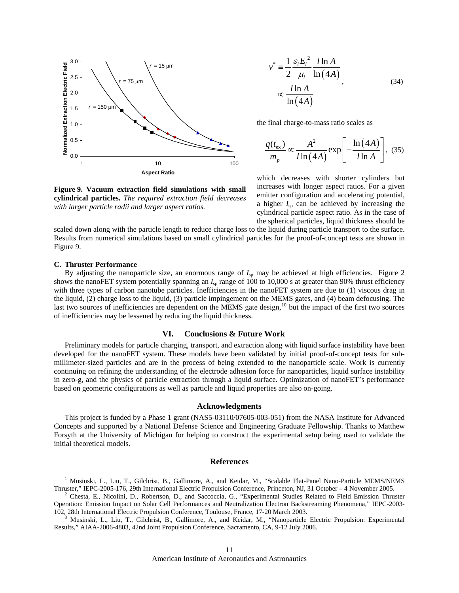

$$
v^* = \frac{1}{2} \frac{\varepsilon_l E_l^2}{\mu_l} \frac{l \ln A}{\ln(4A)}
$$
  
 
$$
\propto \frac{l \ln A}{\ln(4A)}
$$
 (34)

the final charge-to-mass ratio scales as

$$
\frac{q(t_{\rm ex})}{m_p} \propto \frac{A^2}{l \ln(4A)} \exp\left[-\frac{\ln(4A)}{l \ln A}\right], \tag{35}
$$

which decreases with shorter cylinders but increases with longer aspect ratios. For a given emitter configuration and accelerating potential, a higher  $I_{\rm{sp}}$  can be achieved by increasing the cylindrical particle aspect ratio. As in the case of the spherical particles, liquid thickness should be

scaled down along with the particle length to reduce charge loss to the liquid during particle transport to the surface. Results from numerical simulations based on small cylindrical particles for the proof-of-concept tests are shown in Figure 9.

## **C. Thruster Performance**

By adjusting the nanoparticle size, an enormous range of  $I_{sp}$  may be achieved at high efficiencies. Figure 2 shows the nanoFET system potentially spanning an  $I_{\rm SD}$  range of 100 to 10,000 s at greater than 90% thrust efficiency with three types of carbon nanotube particles. Inefficiencies in the nanoFET system are due to (1) viscous drag in the liquid, (2) charge loss to the liquid, (3) particle impingement on the MEMS gates, and (4) beam defocusing. The last two sources of inefficiencies are dependent on the MEMS gate design, $^{10}$  $^{10}$  $^{10}$  but the impact of the first two sources of inefficiencies may be lessened by reducing the liquid thickness.

# **VI. Conclusions & Future Work**

Preliminary models for particle charging, transport, and extraction along with liquid surface instability have been developed for the nanoFET system. These models have been validated by initial proof-of-concept tests for submillimeter-sized particles and are in the process of being extended to the nanoparticle scale. Work is currently continuing on refining the understanding of the electrode adhesion force for nanoparticles, liquid surface instability in zero-g, and the physics of particle extraction through a liquid surface. Optimization of nanoFET's performance based on geometric configurations as well as particle and liquid properties are also on-going.

#### **Acknowledgments**

This project is funded by a Phase 1 grant (NAS5-03110/07605-003-051) from the NASA Institute for Advanced Concepts and supported by a National Defense Science and Engineering Graduate Fellowship. Thanks to Matthew Forsyth at the University of Michigan for helping to construct the experimental setup being used to validate the initial theoretical models.

## **References**

1 Musinski, L., Liu, T., Gilchrist, B., Gallimore, A., and Keidar, M., "Scalable Flat-Panel Nano-Particle MEMS/NEMS Thruster," IEPC-2005-176, 29th International Electric Propulsion Conference, Princeton, NJ, 31 October – 4 November 2005. 2

 Chesta, E., Nicolini, D., Robertson, D., and Saccoccia, G., "Experimental Studies Related to Field Emission Thruster Operation: Emission Impact on Solar Cell Performances and Neutralization Electron Backstreaming Phenomena," IEPC-2003- 102, 28th International Electric Propulsion Conference, Toulouse, France, 17-20 March 2003.

 Musinski, L., Liu, T., Gilchrist, B., Gallimore, A., and Keidar, M., "Nanoparticle Electric Propulsion: Experimental Results," AIAA-2006-4803, 42nd Joint Propulsion Conference, Sacramento, CA, 9-12 July 2006.

**Figure 9. Vacuum extraction field simulations with small cylindrical particles.** *The required extraction field decreases with larger particle radii and larger aspect ratios.*